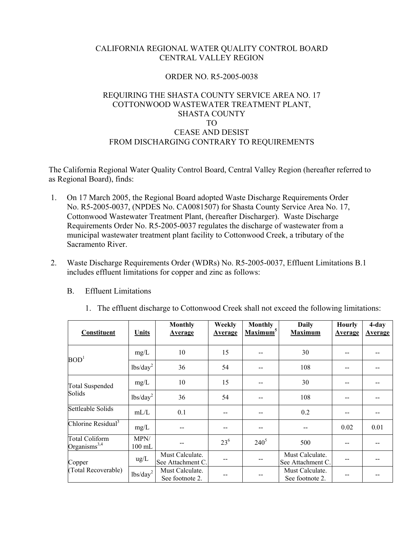# CALIFORNIA REGIONAL WATER QUALITY CONTROL BOARD CENTRAL VALLEY REGION

## ORDER NO. R5-2005-0038

## REQUIRING THE SHASTA COUNTY SERVICE AREA NO. 17 COTTONWOOD WASTEWATER TREATMENT PLANT, SHASTA COUNTY TO CEASE AND DESIST FROM DISCHARGING CONTRARY TO REQUIREMENTS

The California Regional Water Quality Control Board, Central Valley Region (hereafter referred to as Regional Board), finds:

- 1. On 17 March 2005, the Regional Board adopted Waste Discharge Requirements Order No. R5-2005-0037, (NPDES No. CA0081507) for Shasta County Service Area No. 17, Cottonwood Wastewater Treatment Plant, (hereafter Discharger). Waste Discharge Requirements Order No. R5-2005-0037 regulates the discharge of wastewater from a municipal wastewater treatment plant facility to Cottonwood Creek, a tributary of the Sacramento River.
- 2. Waste Discharge Requirements Order (WDRs) No. R5-2005-0037, Effluent Limitations B.1 includes effluent limitations for copper and zinc as follows:
	- B. Effluent Limitations

| Constituent                              | <b>Units</b>         | <b>Monthly</b><br><b>Average</b>     | Weekly<br><b>Average</b> | <b>Monthly</b><br>Maximum <sup>5</sup> | <b>Daily</b><br><b>Maximum</b>       | <b>Hourly</b><br><b>Average</b> | $4$ -day<br><b>Average</b> |
|------------------------------------------|----------------------|--------------------------------------|--------------------------|----------------------------------------|--------------------------------------|---------------------------------|----------------------------|
| BOD <sup>1</sup>                         | mg/L                 | 10                                   | 15                       | --                                     | 30                                   |                                 |                            |
|                                          | lbs/day <sup>2</sup> | 36                                   | 54                       |                                        | 108                                  |                                 |                            |
| <b>Total Suspended</b><br>Solids         | mg/L                 | 10                                   | 15                       |                                        | 30                                   |                                 |                            |
|                                          | lbs/day <sup>2</sup> | 36                                   | 54                       | --                                     | 108                                  |                                 |                            |
| Settleable Solids                        | mL/L                 | 0.1                                  | --                       | --                                     | 0.2                                  |                                 |                            |
| Chlorine Residual <sup>3</sup>           | mg/L                 | --                                   | --                       | $\overline{\phantom{a}}$               |                                      | 0.02                            | 0.01                       |
| <b>Total Coliform</b><br>Organisms $3,4$ | MPN/<br>$100$ mL     |                                      | $23^{6}$                 | $240^{5}$                              | 500                                  |                                 |                            |
| Copper                                   | ug/L                 | Must Calculate.<br>See Attachment C. |                          |                                        | Must Calculate.<br>See Attachment C. |                                 |                            |
| (Total Recoverable)                      | lbs/day <sup>2</sup> | Must Calculate.<br>See footnote 2.   |                          |                                        | Must Calculate.<br>See footnote 2.   |                                 |                            |

1. The effluent discharge to Cottonwood Creek shall not exceed the following limitations: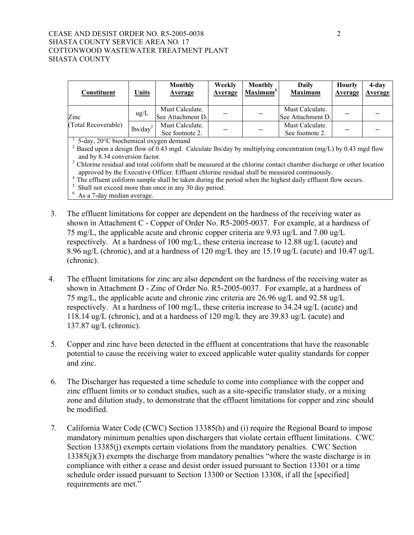#### CEASE AND DESIST ORDER NO. R5-2005-0038 2 SHASTA COUNTY SERVICE AREA NO. 17 COTTONWOOD WASTEWATER TREATMENT PLANT SHASTA COUNTY

| Constituent                                                                                                                                                                                                                                                                                                                                                                                                                                                                                                                                                                                                                                                     | Units         | <b>Monthly</b><br>Average            | Weekly<br>Average | <b>Monthly</b><br>Maximum <sup>5</sup> | Daily<br><b>Maximum</b>              | <b>Hourly</b><br>Average | 4-day<br>Average |
|-----------------------------------------------------------------------------------------------------------------------------------------------------------------------------------------------------------------------------------------------------------------------------------------------------------------------------------------------------------------------------------------------------------------------------------------------------------------------------------------------------------------------------------------------------------------------------------------------------------------------------------------------------------------|---------------|--------------------------------------|-------------------|----------------------------------------|--------------------------------------|--------------------------|------------------|
| Zinc                                                                                                                                                                                                                                                                                                                                                                                                                                                                                                                                                                                                                                                            | $\text{ug/L}$ | Must Calculate.<br>See Attachment D. |                   |                                        | Must Calculate.<br>See Attachment D. |                          |                  |
| (Total Recoverable)                                                                                                                                                                                                                                                                                                                                                                                                                                                                                                                                                                                                                                             | $lbs/day^2$   | Must Calculate.<br>See footnote 2.   |                   |                                        | Must Calculate.<br>See footnote 2.   |                          |                  |
| 5-day, 20°C biochemical oxygen demand<br><sup>2</sup> Based upon a design flow of 0.43 mgd. Calculate lbs/day by multiplying concentration (mg/L) by 0.43 mgd flow<br>and by 8.34 conversion factor.<br><sup>3</sup> Chlorine residual and total coliform shall be measured at the chlorine contact chamber discharge or other location<br>approved by the Executive Officer. Effluent chlorine residual shall be measured continuously.<br><sup>4</sup> The effluent coliform sample shall be taken during the period when the highest daily effluent flow occurs.<br>Shall not exceed more than once in any 30 day period.<br>6<br>As a 7-day median average. |               |                                      |                   |                                        |                                      |                          |                  |

- 3. The effluent limitations for copper are dependent on the hardness of the receiving water as shown in Attachment C - Copper of Order No. R5-2005-0037. For example, at a hardness of 75 mg/L, the applicable acute and chronic copper criteria are 9.93 ug/L and 7.00 ug/L respectively. At a hardness of 100 mg/L, these criteria increase to 12.88 ug/L (acute) and 8.96 ug/L (chronic), and at a hardness of 120 mg/L they are 15.19 ug/L (acute) and 10.47 ug/L (chronic).
- 4. The effluent limitations for zinc are also dependent on the hardness of the receiving water as shown in Attachment D - Zinc of Order No. R5-2005-0037. For example, at a hardness of 75 mg/L, the applicable acute and chronic zinc criteria are 26.96 ug/L and 92.58 ug/L respectively. At a hardness of 100 mg/L, these criteria increase to 34.24 ug/L (acute) and 118.14 ug/L (chronic), and at a hardness of 120 mg/L they are 39.83 ug/L (acute) and 137.87 ug/L (chronic).
- 5. Copper and zinc have been detected in the effluent at concentrations that have the reasonable potential to cause the receiving water to exceed applicable water quality standards for copper and zinc.
- 6. The Discharger has requested a time schedule to come into compliance with the copper and zinc effluent limits or to conduct studies, such as a site-specific translator study, or a mixing zone and dilution study, to demonstrate that the effluent limitations for copper and zinc should be modified.
- 7. California Water Code (CWC) Section 13385(h) and (i) require the Regional Board to impose mandatory minimum penalties upon dischargers that violate certain effluent limitations. CWC Section 13385(j) exempts certain violations from the mandatory penalties. CWC Section 13385(j)(3) exempts the discharge from mandatory penalties "where the waste discharge is in compliance with either a cease and desist order issued pursuant to Section 13301 or a time schedule order issued pursuant to Section 13300 or Section 13308, if all the [specified] requirements are met."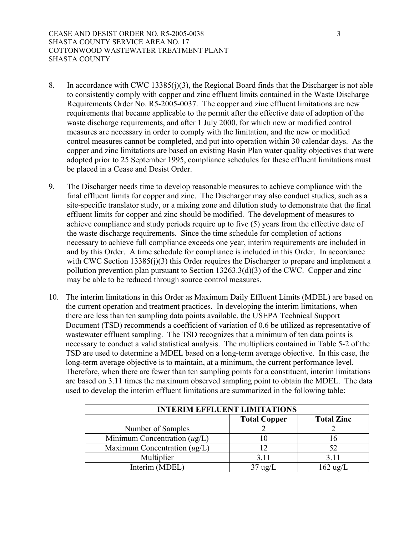- 8. In accordance with CWC 13385(j)(3), the Regional Board finds that the Discharger is not able to consistently comply with copper and zinc effluent limits contained in the Waste Discharge Requirements Order No. R5-2005-0037. The copper and zinc effluent limitations are new requirements that became applicable to the permit after the effective date of adoption of the waste discharge requirements, and after 1 July 2000, for which new or modified control measures are necessary in order to comply with the limitation, and the new or modified control measures cannot be completed, and put into operation within 30 calendar days. As the copper and zinc limitations are based on existing Basin Plan water quality objectives that were adopted prior to 25 September 1995, compliance schedules for these effluent limitations must be placed in a Cease and Desist Order.
- 9. The Discharger needs time to develop reasonable measures to achieve compliance with the final effluent limits for copper and zinc. The Discharger may also conduct studies, such as a site-specific translator study, or a mixing zone and dilution study to demonstrate that the final effluent limits for copper and zinc should be modified. The development of measures to achieve compliance and study periods require up to five (5) years from the effective date of the waste discharge requirements. Since the time schedule for completion of actions necessary to achieve full compliance exceeds one year, interim requirements are included in and by this Order. A time schedule for compliance is included in this Order. In accordance with CWC Section 13385(j)(3) this Order requires the Discharger to prepare and implement a pollution prevention plan pursuant to Section 13263.3(d)(3) of the CWC. Copper and zinc may be able to be reduced through source control measures.
- 10. The interim limitations in this Order as Maximum Daily Effluent Limits (MDEL) are based on the current operation and treatment practices. In developing the interim limitations, when there are less than ten sampling data points available, the USEPA Technical Support Document (TSD) recommends a coefficient of variation of 0.6 be utilized as representative of wastewater effluent sampling. The TSD recognizes that a minimum of ten data points is necessary to conduct a valid statistical analysis. The multipliers contained in Table 5-2 of the TSD are used to determine a MDEL based on a long-term average objective. In this case, the long-term average objective is to maintain, at a minimum, the current performance level. Therefore, when there are fewer than ten sampling points for a constituent, interim limitations are based on 3.11 times the maximum observed sampling point to obtain the MDEL. The data used to develop the interim effluent limitations are summarized in the following table:

| <b>INTERIM EFFLUENT LIMITATIONS</b> |                     |                    |  |  |
|-------------------------------------|---------------------|--------------------|--|--|
|                                     | <b>Total Copper</b> | <b>Total Zinc</b>  |  |  |
| Number of Samples                   |                     |                    |  |  |
| Minimum Concentration $(ug/L)$      |                     | I6                 |  |  |
| Maximum Concentration $(ug/L)$      |                     | 52                 |  |  |
| Multiplier                          | 3.11                | 3.11               |  |  |
| Interim (MDEL)                      | 37 ug/L             | $162 \text{ ug/L}$ |  |  |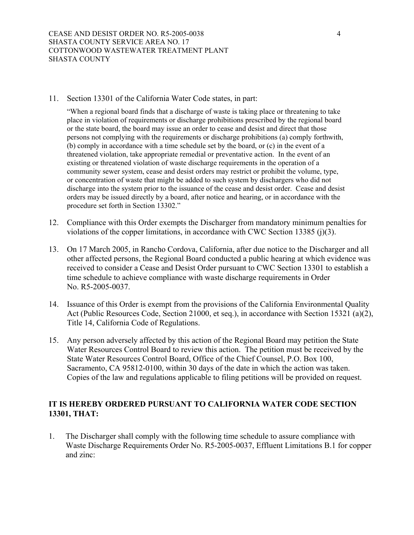11. Section 13301 of the California Water Code states, in part:

"When a regional board finds that a discharge of waste is taking place or threatening to take place in violation of requirements or discharge prohibitions prescribed by the regional board or the state board, the board may issue an order to cease and desist and direct that those persons not complying with the requirements or discharge prohibitions (a) comply forthwith, (b) comply in accordance with a time schedule set by the board, or (c) in the event of a threatened violation, take appropriate remedial or preventative action. In the event of an existing or threatened violation of waste discharge requirements in the operation of a community sewer system, cease and desist orders may restrict or prohibit the volume, type, or concentration of waste that might be added to such system by dischargers who did not discharge into the system prior to the issuance of the cease and desist order. Cease and desist orders may be issued directly by a board, after notice and hearing, or in accordance with the procedure set forth in Section 13302."

- 12. Compliance with this Order exempts the Discharger from mandatory minimum penalties for violations of the copper limitations, in accordance with CWC Section 13385 (j)(3).
- 13. On 17 March 2005, in Rancho Cordova, California, after due notice to the Discharger and all other affected persons, the Regional Board conducted a public hearing at which evidence was received to consider a Cease and Desist Order pursuant to CWC Section 13301 to establish a time schedule to achieve compliance with waste discharge requirements in Order No. R5-2005-0037.
- 14. Issuance of this Order is exempt from the provisions of the California Environmental Quality Act (Public Resources Code, Section 21000, et seq.), in accordance with Section 15321 (a)(2), Title 14, California Code of Regulations.
- 15. Any person adversely affected by this action of the Regional Board may petition the State Water Resources Control Board to review this action. The petition must be received by the State Water Resources Control Board, Office of the Chief Counsel, P.O. Box 100, Sacramento, CA 95812-0100, within 30 days of the date in which the action was taken. Copies of the law and regulations applicable to filing petitions will be provided on request.

# **IT IS HEREBY ORDERED PURSUANT TO CALIFORNIA WATER CODE SECTION 13301, THAT:**

1. The Discharger shall comply with the following time schedule to assure compliance with Waste Discharge Requirements Order No. R5-2005-0037, Effluent Limitations B.1 for copper and zinc: